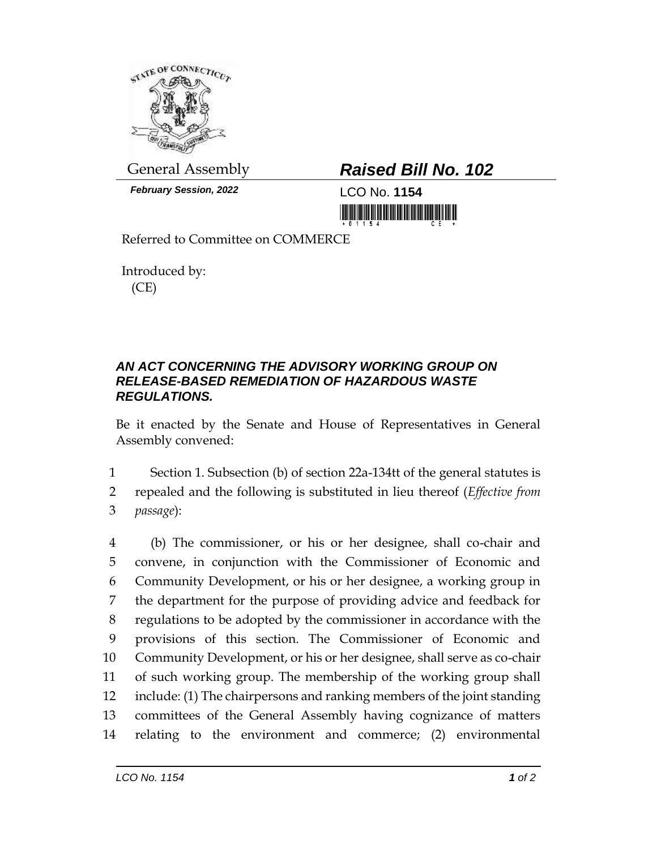

*February Session, 2022* LCO No. **1154**

## General Assembly *Raised Bill No. 102*

<u> 1999 - Andrew Maria Maria Maria Maria Maria Maria Maria Maria Maria Maria Maria Maria Maria Maria Maria Mari</u>

Referred to Committee on COMMERCE

Introduced by: (CE)

## *AN ACT CONCERNING THE ADVISORY WORKING GROUP ON RELEASE-BASED REMEDIATION OF HAZARDOUS WASTE REGULATIONS.*

Be it enacted by the Senate and House of Representatives in General Assembly convened:

1 Section 1. Subsection (b) of section 22a-134tt of the general statutes is 2 repealed and the following is substituted in lieu thereof (*Effective from*  3 *passage*):

 (b) The commissioner, or his or her designee, shall co-chair and convene, in conjunction with the Commissioner of Economic and Community Development, or his or her designee, a working group in the department for the purpose of providing advice and feedback for regulations to be adopted by the commissioner in accordance with the provisions of this section. The Commissioner of Economic and Community Development, or his or her designee, shall serve as co-chair of such working group. The membership of the working group shall include: (1) The chairpersons and ranking members of the joint standing committees of the General Assembly having cognizance of matters relating to the environment and commerce; (2) environmental